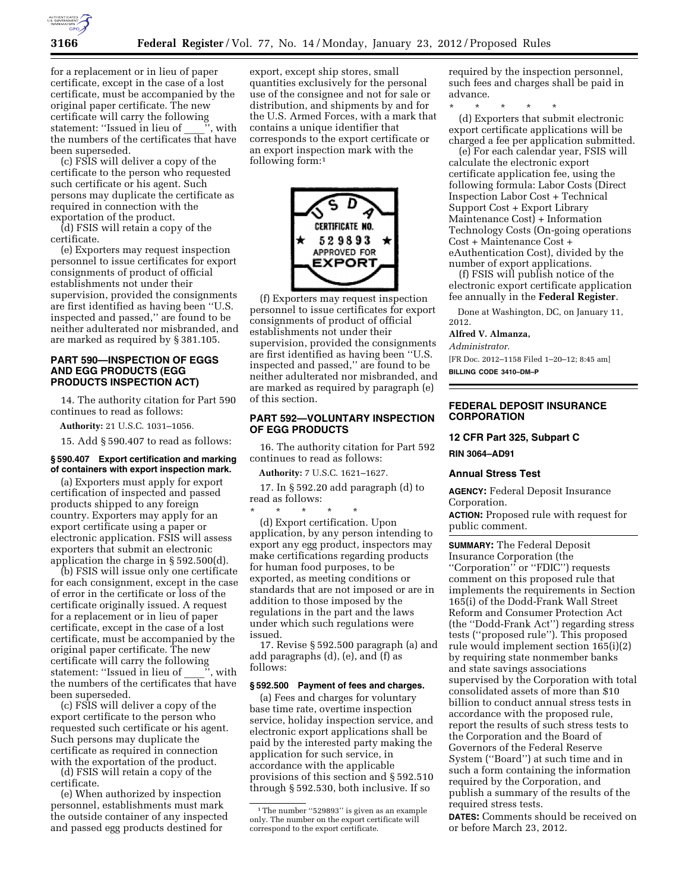

for a replacement or in lieu of paper certificate, except in the case of a lost certificate, must be accompanied by the original paper certificate. The new original paper correspondent certificate will carry the following<br>statement: "Issued in lieu of "', with statement: "Issued in lieu of the numbers of the certificates that have been superseded.

(c) FSIS will deliver a copy of the certificate to the person who requested such certificate or his agent. Such persons may duplicate the certificate as required in connection with the exportation of the product.

(d) FSIS will retain a copy of the certificate.

(e) Exporters may request inspection personnel to issue certificates for export consignments of product of official establishments not under their supervision, provided the consignments are first identified as having been ''U.S. inspected and passed,'' are found to be neither adulterated nor misbranded, and are marked as required by § 381.105.

# **PART 590—INSPECTION OF EGGS AND EGG PRODUCTS (EGG PRODUCTS INSPECTION ACT)**

14. The authority citation for Part 590 continues to read as follows:

**Authority:** 21 U.S.C. 1031–1056.

15. Add § 590.407 to read as follows:

#### **§ 590.407 Export certification and marking of containers with export inspection mark.**

(a) Exporters must apply for export certification of inspected and passed products shipped to any foreign country. Exporters may apply for an export certificate using a paper or electronic application. FSIS will assess exporters that submit an electronic application the charge in § 592.500(d).

(b) FSIS will issue only one certificate for each consignment, except in the case of error in the certificate or loss of the certificate originally issued. A request for a replacement or in lieu of paper certificate, except in the case of a lost certificate, must be accompanied by the original paper certificate. The new certificate will carry the following statement: ''Issued in lieu of \_\_\_\_'', with the numbers of the certificates that have been superseded.

(c) FSIS will deliver a copy of the export certificate to the person who requested such certificate or his agent. Such persons may duplicate the certificate as required in connection with the exportation of the product.

(d) FSIS will retain a copy of the certificate.

(e) When authorized by inspection personnel, establishments must mark the outside container of any inspected and passed egg products destined for

export, except ship stores, small quantities exclusively for the personal use of the consignee and not for sale or distribution, and shipments by and for the U.S. Armed Forces, with a mark that contains a unique identifier that corresponds to the export certificate or an export inspection mark with the following form:1



(f) Exporters may request inspection personnel to issue certificates for export consignments of product of official establishments not under their supervision, provided the consignments are first identified as having been ''U.S. inspected and passed,'' are found to be neither adulterated nor misbranded, and are marked as required by paragraph (e) of this section.

## **PART 592—VOLUNTARY INSPECTION OF EGG PRODUCTS**

16. The authority citation for Part 592 continues to read as follows:

**Authority:** 7 U.S.C. 1621–1627.

17. In § 592.20 add paragraph (d) to read as follows:

\* \* \* \* \* (d) Export certification. Upon application, by any person intending to export any egg product, inspectors may make certifications regarding products for human food purposes, to be exported, as meeting conditions or standards that are not imposed or are in addition to those imposed by the regulations in the part and the laws under which such regulations were issued.

17. Revise § 592.500 paragraph (a) and add paragraphs (d), (e), and (f) as follows:

#### **§ 592.500 Payment of fees and charges.**

(a) Fees and charges for voluntary base time rate, overtime inspection service, holiday inspection service, and electronic export applications shall be paid by the interested party making the application for such service, in accordance with the applicable provisions of this section and § 592.510 through § 592.530, both inclusive. If so

required by the inspection personnel, such fees and charges shall be paid in advance.

\* \* \* \* \* (d) Exporters that submit electronic export certificate applications will be charged a fee per application submitted.

(e) For each calendar year, FSIS will calculate the electronic export certificate application fee, using the following formula: Labor Costs (Direct Inspection Labor Cost + Technical Support Cost + Export Library Maintenance Cost) + Information Technology Costs (On-going operations Cost + Maintenance Cost + eAuthentication Cost), divided by the number of export applications.

(f) FSIS will publish notice of the electronic export certificate application fee annually in the **Federal Register**.

Done at Washington, DC, on January 11, 2012.

**Alfred V. Almanza,** 

*Administrator.*  [FR Doc. 2012–1158 Filed 1–20–12; 8:45 am] **BILLING CODE 3410–DM–P** 

#### **FEDERAL DEPOSIT INSURANCE CORPORATION**

#### **12 CFR Part 325, Subpart C**

**RIN 3064–AD91** 

## **Annual Stress Test**

**AGENCY:** Federal Deposit Insurance Corporation.

**ACTION:** Proposed rule with request for public comment.

**SUMMARY:** The Federal Deposit Insurance Corporation (the ''Corporation'' or ''FDIC'') requests comment on this proposed rule that implements the requirements in Section 165(i) of the Dodd-Frank Wall Street Reform and Consumer Protection Act (the ''Dodd-Frank Act'') regarding stress tests (''proposed rule''). This proposed rule would implement section 165(i)(2) by requiring state nonmember banks and state savings associations supervised by the Corporation with total consolidated assets of more than \$10 billion to conduct annual stress tests in accordance with the proposed rule, report the results of such stress tests to the Corporation and the Board of Governors of the Federal Reserve System (''Board'') at such time and in such a form containing the information required by the Corporation, and publish a summary of the results of the required stress tests.

**DATES:** Comments should be received on or before March 23, 2012.

<sup>&</sup>lt;sup>1</sup>The number "529893" is given as an example only. The number on the export certificate will correspond to the export certificate.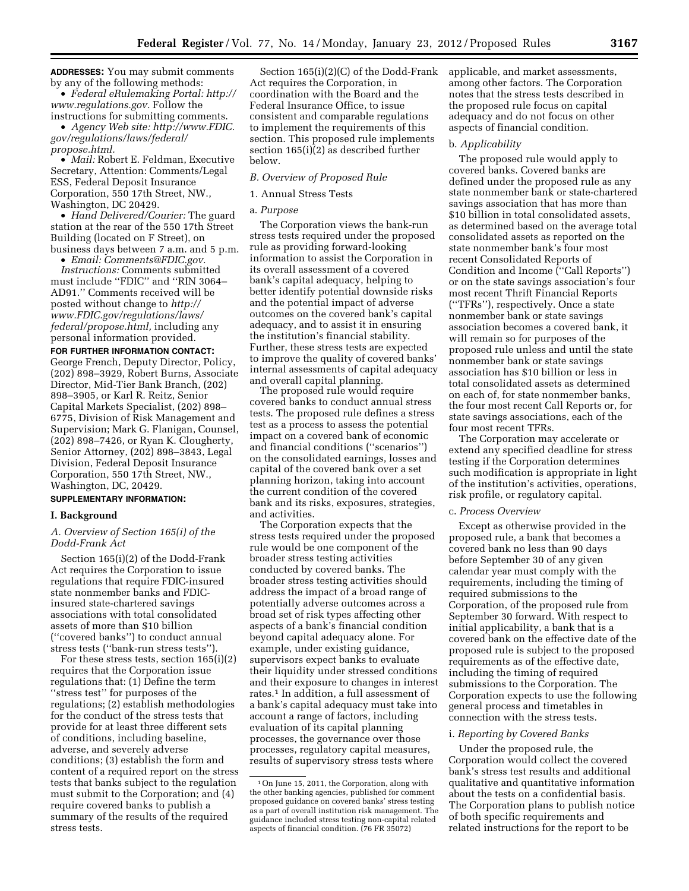**ADDRESSES:** You may submit comments by any of the following methods:

• *Federal eRulemaking Portal: [http://](http://www.regulations.gov)  [www.regulations.gov.](http://www.regulations.gov)* Follow the instructions for submitting comments.

• *Agency Web site: [http://www.FDIC.](http://www.FDIC.gov/regulations/laws/federal/propose.html) [gov/regulations/laws/federal/](http://www.FDIC.gov/regulations/laws/federal/propose.html) [propose.html.](http://www.FDIC.gov/regulations/laws/federal/propose.html)* 

• *Mail:* Robert E. Feldman, Executive Secretary, Attention: Comments/Legal ESS, Federal Deposit Insurance Corporation, 550 17th Street, NW., Washington, DC 20429.

• *Hand Delivered/Courier:* The guard station at the rear of the 550 17th Street Building (located on F Street), on business days between 7 a.m. and 5 p.m.

• *Email: [Comments@FDIC.gov.](mailto:Comments@FDIC.gov)* 

*Instructions:* Comments submitted must include ''FDIC'' and ''RIN 3064– AD91.'' Comments received will be posted without change to *[http://](http://www.FDIC.gov/regulations/laws/federal/propose.html) [www.FDIC.gov/regulations/laws/](http://www.FDIC.gov/regulations/laws/federal/propose.html)  [federal/propose.html,](http://www.FDIC.gov/regulations/laws/federal/propose.html)* including any personal information provided.

**FOR FURTHER INFORMATION CONTACT:** 

George French, Deputy Director, Policy, (202) 898–3929, Robert Burns, Associate Director, Mid-Tier Bank Branch, (202) 898–3905, or Karl R. Reitz, Senior Capital Markets Specialist, (202) 898– 6775, Division of Risk Management and Supervision; Mark G. Flanigan, Counsel, (202) 898–7426, or Ryan K. Clougherty, Senior Attorney, (202) 898–3843, Legal Division, Federal Deposit Insurance Corporation, 550 17th Street, NW., Washington, DC, 20429.

## **SUPPLEMENTARY INFORMATION:**

#### **I. Background**

## *A. Overview of Section 165(i) of the Dodd-Frank Act*

Section 165(i)(2) of the Dodd-Frank Act requires the Corporation to issue regulations that require FDIC-insured state nonmember banks and FDICinsured state-chartered savings associations with total consolidated assets of more than \$10 billion (''covered banks'') to conduct annual stress tests (''bank-run stress tests'').

For these stress tests, section 165(i)(2) requires that the Corporation issue regulations that: (1) Define the term ''stress test'' for purposes of the regulations; (2) establish methodologies for the conduct of the stress tests that provide for at least three different sets of conditions, including baseline, adverse, and severely adverse conditions; (3) establish the form and content of a required report on the stress tests that banks subject to the regulation must submit to the Corporation; and (4) require covered banks to publish a summary of the results of the required stress tests.

Section 165(i)(2)(C) of the Dodd-Frank Act requires the Corporation, in coordination with the Board and the Federal Insurance Office, to issue consistent and comparable regulations to implement the requirements of this section. This proposed rule implements section 165(i)(2) as described further below.

## *B. Overview of Proposed Rule*

## 1. Annual Stress Tests

## a. *Purpose*

The Corporation views the bank-run stress tests required under the proposed rule as providing forward-looking information to assist the Corporation in its overall assessment of a covered bank's capital adequacy, helping to better identify potential downside risks and the potential impact of adverse outcomes on the covered bank's capital adequacy, and to assist it in ensuring the institution's financial stability. Further, these stress tests are expected to improve the quality of covered banks' internal assessments of capital adequacy and overall capital planning.

The proposed rule would require covered banks to conduct annual stress tests. The proposed rule defines a stress test as a process to assess the potential impact on a covered bank of economic and financial conditions (''scenarios'') on the consolidated earnings, losses and capital of the covered bank over a set planning horizon, taking into account the current condition of the covered bank and its risks, exposures, strategies, and activities.

The Corporation expects that the stress tests required under the proposed rule would be one component of the broader stress testing activities conducted by covered banks. The broader stress testing activities should address the impact of a broad range of potentially adverse outcomes across a broad set of risk types affecting other aspects of a bank's financial condition beyond capital adequacy alone. For example, under existing guidance, supervisors expect banks to evaluate their liquidity under stressed conditions and their exposure to changes in interest rates.1 In addition, a full assessment of a bank's capital adequacy must take into account a range of factors, including evaluation of its capital planning processes, the governance over those processes, regulatory capital measures, results of supervisory stress tests where

applicable, and market assessments, among other factors. The Corporation notes that the stress tests described in the proposed rule focus on capital adequacy and do not focus on other aspects of financial condition.

#### b. *Applicability*

The proposed rule would apply to covered banks. Covered banks are defined under the proposed rule as any state nonmember bank or state-chartered savings association that has more than \$10 billion in total consolidated assets, as determined based on the average total consolidated assets as reported on the state nonmember bank's four most recent Consolidated Reports of Condition and Income (''Call Reports'') or on the state savings association's four most recent Thrift Financial Reports (''TFRs''), respectively. Once a state nonmember bank or state savings association becomes a covered bank, it will remain so for purposes of the proposed rule unless and until the state nonmember bank or state savings association has \$10 billion or less in total consolidated assets as determined on each of, for state nonmember banks, the four most recent Call Reports or, for state savings associations, each of the four most recent TFRs.

The Corporation may accelerate or extend any specified deadline for stress testing if the Corporation determines such modification is appropriate in light of the institution's activities, operations, risk profile, or regulatory capital.

#### c. *Process Overview*

Except as otherwise provided in the proposed rule, a bank that becomes a covered bank no less than 90 days before September 30 of any given calendar year must comply with the requirements, including the timing of required submissions to the Corporation, of the proposed rule from September 30 forward. With respect to initial applicability, a bank that is a covered bank on the effective date of the proposed rule is subject to the proposed requirements as of the effective date, including the timing of required submissions to the Corporation. The Corporation expects to use the following general process and timetables in connection with the stress tests.

#### i. *Reporting by Covered Banks*

Under the proposed rule, the Corporation would collect the covered bank's stress test results and additional qualitative and quantitative information about the tests on a confidential basis. The Corporation plans to publish notice of both specific requirements and related instructions for the report to be

<sup>1</sup>On June 15, 2011, the Corporation, along with the other banking agencies, published for comment proposed guidance on covered banks' stress testing as a part of overall institution risk management. The guidance included stress testing non-capital related aspects of financial condition. (76 FR 35072)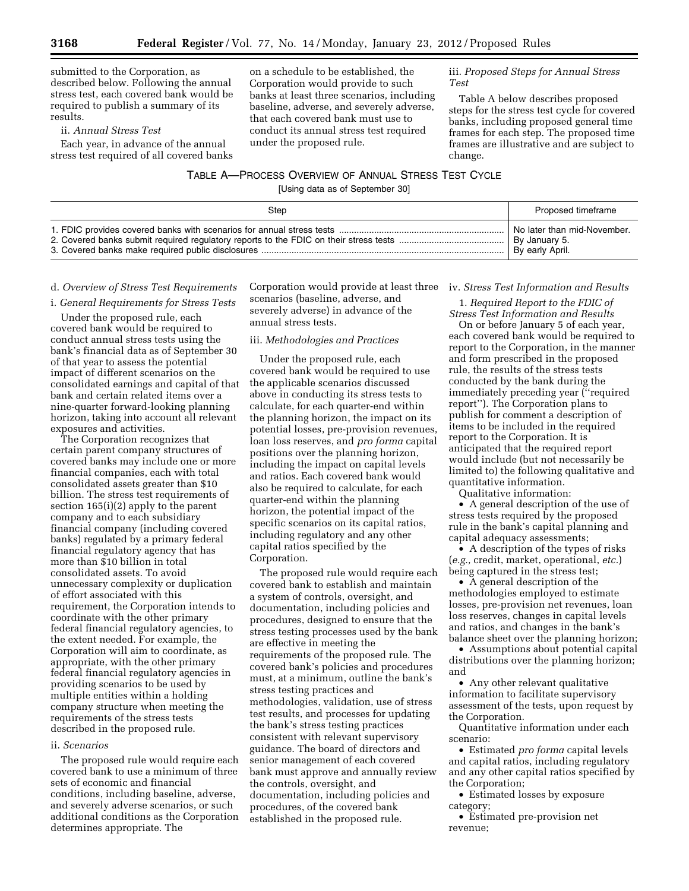submitted to the Corporation, as described below. Following the annual stress test, each covered bank would be required to publish a summary of its results.

ii. *Annual Stress Test* 

Each year, in advance of the annual stress test required of all covered banks

# on a schedule to be established, the Corporation would provide to such banks at least three scenarios, including baseline, adverse, and severely adverse, that each covered bank must use to conduct its annual stress test required under the proposed rule.

## iii. *Proposed Steps for Annual Stress Test*

Table A below describes proposed steps for the stress test cycle for covered banks, including proposed general time frames for each step. The proposed time frames are illustrative and are subject to change.

# TABLE A—PROCESS OVERVIEW OF ANNUAL STRESS TEST CYCLE

[Using data as of September 30]

| Step | Proposed timeframe          |
|------|-----------------------------|
|      | No later than mid-November. |
|      | By January 5.               |
|      | By early April.             |

## d. *Overview of Stress Test Requirements*

#### i. *General Requirements for Stress Tests*

Under the proposed rule, each covered bank would be required to conduct annual stress tests using the bank's financial data as of September 30 of that year to assess the potential impact of different scenarios on the consolidated earnings and capital of that bank and certain related items over a nine-quarter forward-looking planning horizon, taking into account all relevant exposures and activities.

The Corporation recognizes that certain parent company structures of covered banks may include one or more financial companies, each with total consolidated assets greater than \$10 billion. The stress test requirements of section 165(i)(2) apply to the parent company and to each subsidiary financial company (including covered banks) regulated by a primary federal financial regulatory agency that has more than \$10 billion in total consolidated assets. To avoid unnecessary complexity or duplication of effort associated with this requirement, the Corporation intends to coordinate with the other primary federal financial regulatory agencies, to the extent needed. For example, the Corporation will aim to coordinate, as appropriate, with the other primary federal financial regulatory agencies in providing scenarios to be used by multiple entities within a holding company structure when meeting the requirements of the stress tests described in the proposed rule.

## ii. *Scenarios*

The proposed rule would require each covered bank to use a minimum of three sets of economic and financial conditions, including baseline, adverse, and severely adverse scenarios, or such additional conditions as the Corporation determines appropriate. The

Corporation would provide at least three iv. *Stress Test Information and Results*  scenarios (baseline, adverse, and severely adverse) in advance of the annual stress tests.

## iii. *Methodologies and Practices*

Under the proposed rule, each covered bank would be required to use the applicable scenarios discussed above in conducting its stress tests to calculate, for each quarter-end within the planning horizon, the impact on its potential losses, pre-provision revenues, loan loss reserves, and *pro forma* capital positions over the planning horizon, including the impact on capital levels and ratios. Each covered bank would also be required to calculate, for each quarter-end within the planning horizon, the potential impact of the specific scenarios on its capital ratios, including regulatory and any other capital ratios specified by the Corporation.

The proposed rule would require each covered bank to establish and maintain a system of controls, oversight, and documentation, including policies and procedures, designed to ensure that the stress testing processes used by the bank are effective in meeting the requirements of the proposed rule. The covered bank's policies and procedures must, at a minimum, outline the bank's stress testing practices and methodologies, validation, use of stress test results, and processes for updating the bank's stress testing practices consistent with relevant supervisory guidance. The board of directors and senior management of each covered bank must approve and annually review the controls, oversight, and documentation, including policies and procedures, of the covered bank established in the proposed rule.

1. *Required Report to the FDIC of Stress Test Information and Results* 

On or before January 5 of each year, each covered bank would be required to report to the Corporation, in the manner and form prescribed in the proposed rule, the results of the stress tests conducted by the bank during the immediately preceding year (''required report''). The Corporation plans to publish for comment a description of items to be included in the required report to the Corporation. It is anticipated that the required report would include (but not necessarily be limited to) the following qualitative and quantitative information.

Qualitative information:

• A general description of the use of stress tests required by the proposed rule in the bank's capital planning and capital adequacy assessments;

• A description of the types of risks (*e.g.,* credit, market, operational, *etc.*) being captured in the stress test;

• A general description of the methodologies employed to estimate losses, pre-provision net revenues, loan loss reserves, changes in capital levels and ratios, and changes in the bank's balance sheet over the planning horizon;

• Assumptions about potential capital distributions over the planning horizon; and

• Any other relevant qualitative information to facilitate supervisory assessment of the tests, upon request by the Corporation.

Quantitative information under each scenario:

• Estimated *pro forma* capital levels and capital ratios, including regulatory and any other capital ratios specified by the Corporation;

• Estimated losses by exposure category;

• Estimated pre-provision net revenue;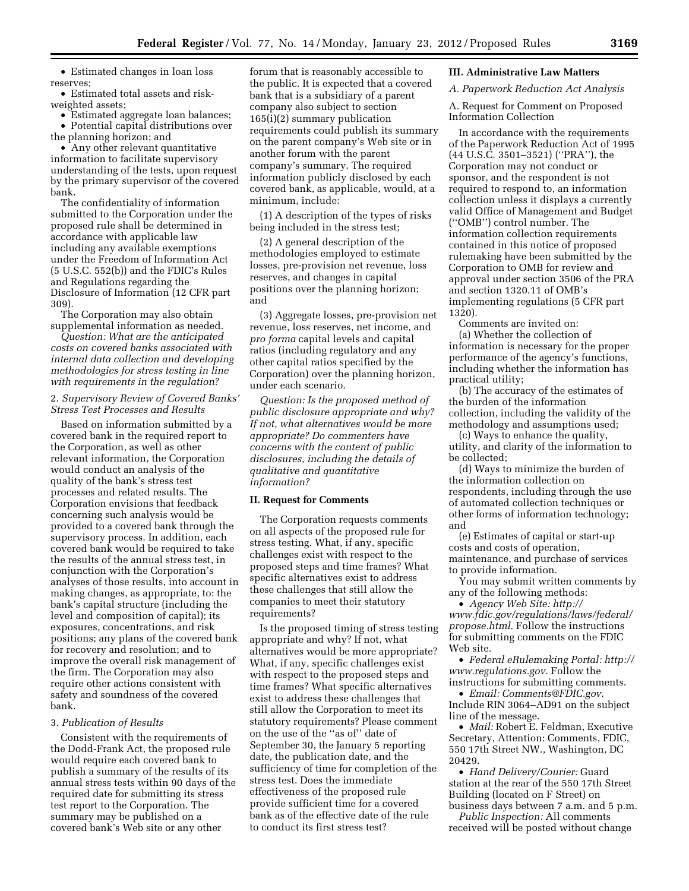• Estimated changes in loan loss reserves;

• Estimated total assets and riskweighted assets;

• Estimated aggregate loan balances; • Potential capital distributions over the planning horizon; and

• Any other relevant quantitative information to facilitate supervisory understanding of the tests, upon request by the primary supervisor of the covered bank.

The confidentiality of information submitted to the Corporation under the proposed rule shall be determined in accordance with applicable law including any available exemptions under the Freedom of Information Act (5 U.S.C. 552(b)) and the FDIC's Rules and Regulations regarding the Disclosure of Information (12 CFR part 309).

The Corporation may also obtain supplemental information as needed.

*Question: What are the anticipated costs on covered banks associated with internal data collection and developing methodologies for stress testing in line with requirements in the regulation?* 

## 2. *Supervisory Review of Covered Banks' Stress Test Processes and Results*

Based on information submitted by a covered bank in the required report to the Corporation, as well as other relevant information, the Corporation would conduct an analysis of the quality of the bank's stress test processes and related results. The Corporation envisions that feedback concerning such analysis would be provided to a covered bank through the supervisory process. In addition, each covered bank would be required to take the results of the annual stress test, in conjunction with the Corporation's analyses of those results, into account in making changes, as appropriate, to: the bank's capital structure (including the level and composition of capital); its exposures, concentrations, and risk positions; any plans of the covered bank for recovery and resolution; and to improve the overall risk management of the firm. The Corporation may also require other actions consistent with safety and soundness of the covered bank.

#### 3. *Publication of Results*

Consistent with the requirements of the Dodd-Frank Act, the proposed rule would require each covered bank to publish a summary of the results of its annual stress tests within 90 days of the required date for submitting its stress test report to the Corporation. The summary may be published on a covered bank's Web site or any other

forum that is reasonably accessible to the public. It is expected that a covered bank that is a subsidiary of a parent company also subject to section 165(i)(2) summary publication requirements could publish its summary on the parent company's Web site or in another forum with the parent company's summary. The required information publicly disclosed by each covered bank, as applicable, would, at a minimum, include:

(1) A description of the types of risks being included in the stress test;

(2) A general description of the methodologies employed to estimate losses, pre-provision net revenue, loss reserves, and changes in capital positions over the planning horizon; and

(3) Aggregate losses, pre-provision net revenue, loss reserves, net income, and *pro forma* capital levels and capital ratios (including regulatory and any other capital ratios specified by the Corporation) over the planning horizon, under each scenario.

*Question: Is the proposed method of public disclosure appropriate and why? If not, what alternatives would be more appropriate? Do commenters have concerns with the content of public disclosures, including the details of qualitative and quantitative information?* 

#### **II. Request for Comments**

The Corporation requests comments on all aspects of the proposed rule for stress testing. What, if any, specific challenges exist with respect to the proposed steps and time frames? What specific alternatives exist to address these challenges that still allow the companies to meet their statutory requirements?

Is the proposed timing of stress testing appropriate and why? If not, what alternatives would be more appropriate? What, if any, specific challenges exist with respect to the proposed steps and time frames? What specific alternatives exist to address these challenges that still allow the Corporation to meet its statutory requirements? Please comment on the use of the ''as of'' date of September 30, the January 5 reporting date, the publication date, and the sufficiency of time for completion of the stress test. Does the immediate effectiveness of the proposed rule provide sufficient time for a covered bank as of the effective date of the rule to conduct its first stress test?

## **III. Administrative Law Matters**

## *A. Paperwork Reduction Act Analysis*

A. Request for Comment on Proposed Information Collection

In accordance with the requirements of the Paperwork Reduction Act of 1995 (44 U.S.C. 3501–3521) (''PRA''), the Corporation may not conduct or sponsor, and the respondent is not required to respond to, an information collection unless it displays a currently valid Office of Management and Budget (''OMB'') control number. The information collection requirements contained in this notice of proposed rulemaking have been submitted by the Corporation to OMB for review and approval under section 3506 of the PRA and section 1320.11 of OMB's implementing regulations (5 CFR part 1320).

Comments are invited on: (a) Whether the collection of information is necessary for the proper performance of the agency's functions, including whether the information has practical utility;

(b) The accuracy of the estimates of the burden of the information collection, including the validity of the methodology and assumptions used;

(c) Ways to enhance the quality, utility, and clarity of the information to be collected;

(d) Ways to minimize the burden of the information collection on respondents, including through the use of automated collection techniques or other forms of information technology; and

(e) Estimates of capital or start-up costs and costs of operation, maintenance, and purchase of services to provide information.

You may submit written comments by any of the following methods:

• *Agency Web Site: [http://](http://www.fdic.gov/regulations/laws/federal/propose.html)  [www.fdic.gov/regulations/laws/federal/](http://www.fdic.gov/regulations/laws/federal/propose.html) [propose.html](http://www.fdic.gov/regulations/laws/federal/propose.html)*. Follow the instructions for submitting comments on the FDIC Web site.

• *Federal eRulemaking Portal: [http://](http://www.regulations.gov)  [www.regulations.gov](http://www.regulations.gov)*. Follow the instructions for submitting comments.

• *Email: [Comments@FDIC.gov](mailto:Comments@FDIC.gov)*. Include RIN 3064–AD91 on the subject line of the message.

• *Mail:* Robert E. Feldman, Executive Secretary, Attention: Comments, FDIC, 550 17th Street NW., Washington, DC 20429.

• *Hand Delivery/Courier:* Guard station at the rear of the 550 17th Street Building (located on F Street) on business days between 7 a.m. and 5 p.m.

*Public Inspection:* All comments received will be posted without change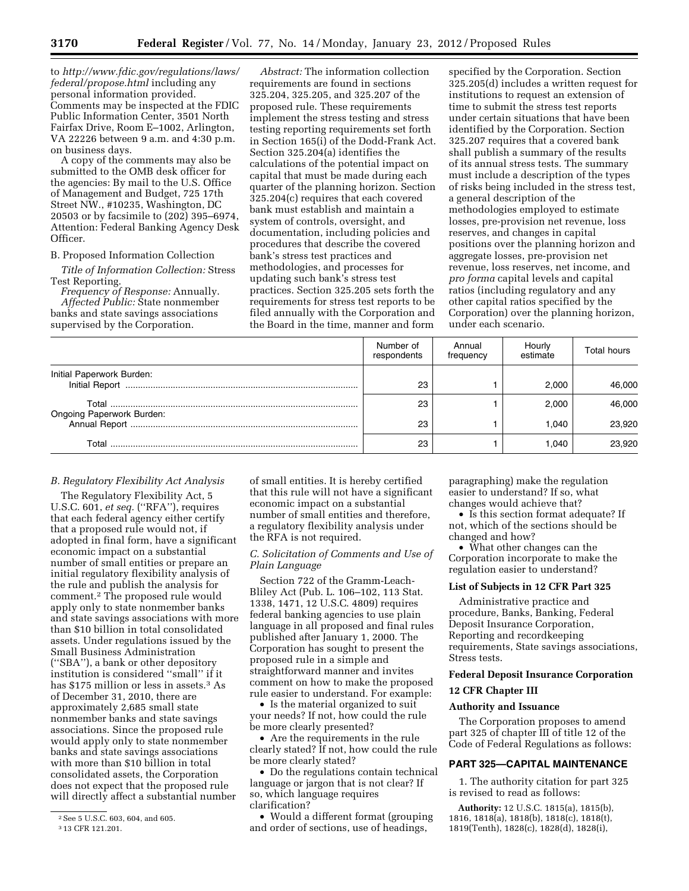to *[http://www.fdic.gov/regulations/laws/](http://www.fdic.gov/regulations/laws/federal/propose.html)  [federal/propose.html](http://www.fdic.gov/regulations/laws/federal/propose.html)* including any personal information provided. Comments may be inspected at the FDIC Public Information Center, 3501 North Fairfax Drive, Room E–1002, Arlington, VA 22226 between 9 a.m. and 4:30 p.m. on business days.

A copy of the comments may also be submitted to the OMB desk officer for the agencies: By mail to the U.S. Office of Management and Budget, 725 17th Street NW., #10235, Washington, DC 20503 or by facsimile to (202) 395–6974, Attention: Federal Banking Agency Desk Officer.

#### B. Proposed Information Collection

*Title of Information Collection:* Stress Test Reporting.

*Frequency of Response:* Annually. *Affected Public:* State nonmember banks and state savings associations supervised by the Corporation.

*Abstract:* The information collection requirements are found in sections 325.204, 325.205, and 325.207 of the proposed rule. These requirements implement the stress testing and stress testing reporting requirements set forth in Section 165(i) of the Dodd-Frank Act. Section 325.204(a) identifies the calculations of the potential impact on capital that must be made during each quarter of the planning horizon. Section 325.204(c) requires that each covered bank must establish and maintain a system of controls, oversight, and documentation, including policies and procedures that describe the covered bank's stress test practices and methodologies, and processes for updating such bank's stress test practices. Section 325.205 sets forth the requirements for stress test reports to be filed annually with the Corporation and the Board in the time, manner and form

specified by the Corporation. Section 325.205(d) includes a written request for institutions to request an extension of time to submit the stress test reports under certain situations that have been identified by the Corporation. Section 325.207 requires that a covered bank shall publish a summary of the results of its annual stress tests. The summary must include a description of the types of risks being included in the stress test, a general description of the methodologies employed to estimate losses, pre-provision net revenue, loss reserves, and changes in capital positions over the planning horizon and aggregate losses, pre-provision net revenue, loss reserves, net income, and *pro forma* capital levels and capital ratios (including regulatory and any other capital ratios specified by the Corporation) over the planning horizon, under each scenario.

|                           | Number of<br>respondents | Annual<br>frequency | Hourly<br>estimate | Total hours |
|---------------------------|--------------------------|---------------------|--------------------|-------------|
| Initial Paperwork Burden: | 23                       |                     | 2.000              | 46.000      |
|                           | 23                       |                     | 2.000              | 46.000      |
| Ongoing Paperwork Burden: | 23                       |                     | 1.040              | 23,920      |
|                           | 23                       |                     | 1.040              | 23.920      |

# *B. Regulatory Flexibility Act Analysis*

The Regulatory Flexibility Act, 5 U.S.C. 601, *et seq.* (''RFA''), requires that each federal agency either certify that a proposed rule would not, if adopted in final form, have a significant economic impact on a substantial number of small entities or prepare an initial regulatory flexibility analysis of the rule and publish the analysis for comment.2 The proposed rule would apply only to state nonmember banks and state savings associations with more than \$10 billion in total consolidated assets. Under regulations issued by the Small Business Administration (''SBA''), a bank or other depository institution is considered ''small'' if it has \$175 million or less in assets.<sup>3</sup> As of December 31, 2010, there are approximately 2,685 small state nonmember banks and state savings associations. Since the proposed rule would apply only to state nonmember banks and state savings associations with more than \$10 billion in total consolidated assets, the Corporation does not expect that the proposed rule will directly affect a substantial number

of small entities. It is hereby certified that this rule will not have a significant economic impact on a substantial number of small entities and therefore, a regulatory flexibility analysis under the RFA is not required.

## *C. Solicitation of Comments and Use of Plain Language*

Section 722 of the Gramm-Leach-Bliley Act (Pub. L. 106–102, 113 Stat. 1338, 1471, 12 U.S.C. 4809) requires federal banking agencies to use plain language in all proposed and final rules published after January 1, 2000. The Corporation has sought to present the proposed rule in a simple and straightforward manner and invites comment on how to make the proposed rule easier to understand. For example:

• Is the material organized to suit your needs? If not, how could the rule be more clearly presented?

• Are the requirements in the rule clearly stated? If not, how could the rule be more clearly stated?

• Do the regulations contain technical language or jargon that is not clear? If so, which language requires clarification?

• Would a different format (grouping and order of sections, use of headings,

paragraphing) make the regulation easier to understand? If so, what changes would achieve that?

• Is this section format adequate? If not, which of the sections should be changed and how?

• What other changes can the Corporation incorporate to make the regulation easier to understand?

## **List of Subjects in 12 CFR Part 325**

Administrative practice and procedure, Banks, Banking, Federal Deposit Insurance Corporation, Reporting and recordkeeping requirements, State savings associations, Stress tests.

## **Federal Deposit Insurance Corporation**

## **12 CFR Chapter III**

## **Authority and Issuance**

The Corporation proposes to amend part 325 of chapter III of title 12 of the Code of Federal Regulations as follows:

# **PART 325—CAPITAL MAINTENANCE**

1. The authority citation for part 325 is revised to read as follows:

**Authority:** 12 U.S.C. 1815(a), 1815(b), 1816, 1818(a), 1818(b), 1818(c), 1818(t), 1819(Tenth), 1828(c), 1828(d), 1828(i),

<sup>&</sup>lt;sup>2</sup> See 5 U.S.C. 603, 604, and 605.

<sup>3</sup> 13 CFR 121.201.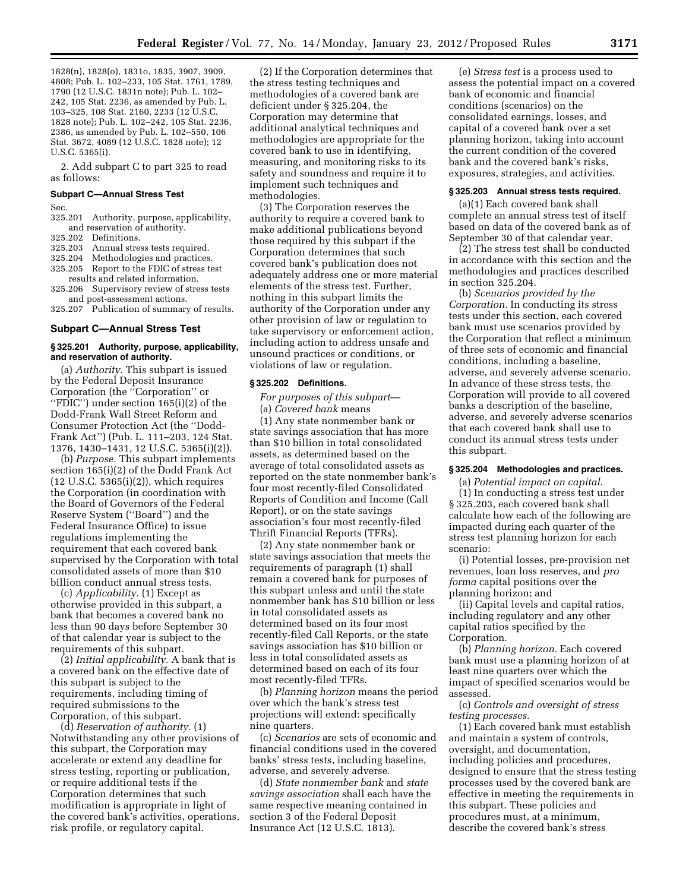1828(n), 1828(o), 1831o, 1835, 3907, 3909, 4808; Pub. L. 102–233, 105 Stat. 1761, 1789, 1790 (12 U.S.C. 1831n note); Pub. L. 102– 242, 105 Stat. 2236, as amended by Pub. L. 103–325, 108 Stat. 2160, 2233 (12 U.S.C. 1828 note); Pub. L. 102–242, 105 Stat. 2236, 2386, as amended by Pub. L. 102–550, 106 Stat. 3672, 4089 (12 U.S.C. 1828 note); 12 U.S.C. 5365(i).

2. Add subpart C to part 325 to read as follows:

#### **Subpart C—Annual Stress Test**

Sec.

325.201 Authority, purpose, applicability, and reservation of authority.

- 325.202 Definitions.
- 325.203 Annual stress tests required.
- 325.204 Methodologies and practices.
- 325.205 Report to the FDIC of stress test
- results and related information. 325.206 Supervisory review of stress tests and post-assessment actions.
- 325.207 Publication of summary of results.

#### **Subpart C—Annual Stress Test**

#### **§ 325.201 Authority, purpose, applicability, and reservation of authority.**

(a) *Authority.* This subpart is issued by the Federal Deposit Insurance Corporation (the ''Corporation'' or ''FDIC'') under section 165(i)(2) of the Dodd-Frank Wall Street Reform and Consumer Protection Act (the ''Dodd-Frank Act'') (Pub. L. 111–203, 124 Stat. 1376, 1430–1431, 12 U.S.C. 5365(i)(2)).

(b) *Purpose.* This subpart implements section 165(i)(2) of the Dodd Frank Act (12 U.S.C. 5365(i)(2)), which requires the Corporation (in coordination with the Board of Governors of the Federal Reserve System (''Board'') and the Federal Insurance Office) to issue regulations implementing the requirement that each covered bank supervised by the Corporation with total consolidated assets of more than \$10 billion conduct annual stress tests.

(c) *Applicability.* (1) Except as otherwise provided in this subpart, a bank that becomes a covered bank no less than 90 days before September 30 of that calendar year is subject to the requirements of this subpart.

(2) *Initial applicability.* A bank that is a covered bank on the effective date of this subpart is subject to the requirements, including timing of required submissions to the Corporation, of this subpart.

(d) *Reservation of authority.* (1) Notwithstanding any other provisions of this subpart, the Corporation may accelerate or extend any deadline for stress testing, reporting or publication, or require additional tests if the Corporation determines that such modification is appropriate in light of the covered bank's activities, operations, risk profile, or regulatory capital.

(2) If the Corporation determines that the stress testing techniques and methodologies of a covered bank are deficient under § 325.204, the Corporation may determine that additional analytical techniques and methodologies are appropriate for the covered bank to use in identifying, measuring, and monitoring risks to its safety and soundness and require it to implement such techniques and methodologies.

(3) The Corporation reserves the authority to require a covered bank to make additional publications beyond those required by this subpart if the Corporation determines that such covered bank's publication does not adequately address one or more material elements of the stress test. Further, nothing in this subpart limits the authority of the Corporation under any other provision of law or regulation to take supervisory or enforcement action, including action to address unsafe and unsound practices or conditions, or violations of law or regulation.

## **§ 325.202 Definitions.**

*For purposes of this subpart*— (a) *Covered bank* means

(1) Any state nonmember bank or state savings association that has more than \$10 billion in total consolidated assets, as determined based on the average of total consolidated assets as reported on the state nonmember bank's four most recently-filed Consolidated Reports of Condition and Income (Call Report), or on the state savings association's four most recently-filed Thrift Financial Reports (TFRs).

(2) Any state nonmember bank or state savings association that meets the requirements of paragraph (1) shall remain a covered bank for purposes of this subpart unless and until the state nonmember bank has \$10 billion or less in total consolidated assets as determined based on its four most recently-filed Call Reports, or the state savings association has \$10 billion or less in total consolidated assets as determined based on each of its four most recently-filed TFRs.

(b) *Planning horizon* means the period over which the bank's stress test projections will extend: specifically nine quarters.

(c) *Scenarios* are sets of economic and financial conditions used in the covered banks' stress tests, including baseline, adverse, and severely adverse.

(d) *State nonmember bank* and *state savings association* shall each have the same respective meaning contained in section 3 of the Federal Deposit Insurance Act (12 U.S.C. 1813).

(e) *Stress test* is a process used to assess the potential impact on a covered bank of economic and financial conditions (scenarios) on the consolidated earnings, losses, and capital of a covered bank over a set planning horizon, taking into account the current condition of the covered bank and the covered bank's risks, exposures, strategies, and activities.

#### **§ 325.203 Annual stress tests required.**

(a)(1) Each covered bank shall complete an annual stress test of itself based on data of the covered bank as of September 30 of that calendar year.

(2) The stress test shall be conducted in accordance with this section and the methodologies and practices described in section 325.204.

(b) *Scenarios provided by the Corporation.* In conducting its stress tests under this section, each covered bank must use scenarios provided by the Corporation that reflect a minimum of three sets of economic and financial conditions, including a baseline, adverse, and severely adverse scenario. In advance of these stress tests, the Corporation will provide to all covered banks a description of the baseline, adverse, and severely adverse scenarios that each covered bank shall use to conduct its annual stress tests under this subpart.

#### **§ 325.204 Methodologies and practices.**

(a) *Potential impact on capital.* 

(1) In conducting a stress test under § 325.203, each covered bank shall calculate how each of the following are impacted during each quarter of the stress test planning horizon for each scenario:

(i) Potential losses, pre-provision net revenues, loan loss reserves, and *pro forma* capital positions over the planning horizon; and

(ii) Capital levels and capital ratios, including regulatory and any other capital ratios specified by the Corporation.

(b) *Planning horizon.* Each covered bank must use a planning horizon of at least nine quarters over which the impact of specified scenarios would be assessed.

(c) *Controls and oversight of stress testing processes.* 

(1) Each covered bank must establish and maintain a system of controls, oversight, and documentation, including policies and procedures, designed to ensure that the stress testing processes used by the covered bank are effective in meeting the requirements in this subpart. These policies and procedures must, at a minimum, describe the covered bank's stress